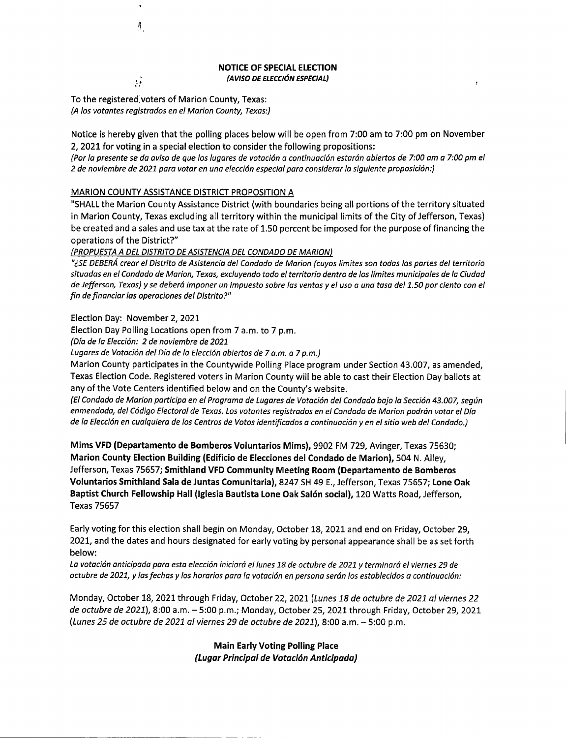NOTICE OF SPECIAL ELECTION *(AVISO DE ELECCI6N ESPECIAL)*

To the registered. voters of Marion County, Texas: *(A los votantes registrados en el Marion County, Texas:)*

Ä.

ÿ.

Notice is hereby given that the polling places below will be open from 7:00 am to 7:00 pm on November 2, 2021 for voting in a special election to consider the following propositions:

(Por la presente se da aviso de que los lugares de votación a continuación estarán abiertos de 7:00 am a 7:00 pm el *2 de noviembre de 2021 para votar en una elecci6n especial para considerar la siguiente proposici6n:)*

## MARION COUNTY ASSISTANCE DISTRICT PROPOSITION A

"SHALL the Marion County Assistance District (with boundaries being all portions of the territory situated in Marion County, Texas excluding all territory within the municipal limits of the City of Jefferson, Texas) be created and a sales and use tax at the rate of 1.50 percent be imposed for the purpose of financing the operations of the District?"

*(PROPUESTAA DEL DISTRITODEASISTENCIADEL CONDADO DE MARION)*

"¿SE DEBERÁ crear el Distrito de Asistencia del Condado de Marion (cuyos límites son todas las partes del territorio situadas en el Condado de Marion, Texas, excluyendo todo el territorio dentro de los límites municipales de la Ciudad de Jefferson, Texas) y se deberá imponer un impuesto sobre las ventas y el uso a una tasa del 1.50 por ciento con el *fin de financiar las operaciones del Distrito?"*

Election Day: November 2,2021

--------------------- -- . -

Election Day Polling Locations open from 7 a.m. to 7 p.m.

*(Dia de la Elecci6n:* 2 *de noviembre de 2021*

*Lugares de Votaci6n del Dia de la Elecci6n abiertos de* 7 *a.m. a* 7*p.m.)*

Marion County participates in the Countywide Polling Place program under Section 43.007, as amended, Texas Election Code. Registered voters in Marion County will be able to cast their Election Day ballots at any of the Vote Centers identified below and on the County's website.

(El Condado de Marion participa en el Programa de Lugares de Votación del Condado bajo la Sección 43.007, según enmendada, del Código Electoral de Texas. Los votantes registrados en el Condado de Marion podrán votar el Día de la Elección en cualquiera de los Centros de Votos identificados a continuación y en el sitio web del Condado.)

Mims VFD (Departamento de Bomberos Voluntarios Mims), 9902 FM 729, Avinger, Texas 75630; Marion County Election Building (Edificio de Elecciones del Condado de Marion), 504 N. Alley, Jefferson, Texas 75657; Smithland VFD Community Meeting Room (Departamento de Bomberos Voluntarios Smithland Sala de Juntas Comunitaria), 8247 SH49 E.,Jefferson, Texas 75657; Lone Oak Baptist Church Fellowship Hall (Iglesia Bautista Lone Oak Salón social), 120 Watts Road, Jefferson, Texas 75657

Early voting for this election shall begin on Monday, October 18, 2021 and end on Friday, October 29, 2021, and the dates and hours designated for early voting by personal appearance shall be as set forth below:

La votación anticipada para esta elección iniciará el lunes 18 de octubre de 2021 y terminará el viernes 29 de octubre de 2021, y las fechas y los horarios para la votación en persona serán los establecidos a continuación:

Monday, October 18, 2021 through Friday, October 22, 2021 *(Lunes* 18 *de octubre de 2021 al viernes 22 de octubre de 2021L* 8:00 a.m. - 5:00 p.m.; Monday, October 25, 2021 through Friday, October 29, 2021 *(Lunes* 25 *de octubre de 2021 al viernes* 29 *de octubre de 2021),8:00* a.m. - 5:00 p.m.

> Main Early Voting Polling Place *(LugarPrincipalde VotacionAnticipada)*